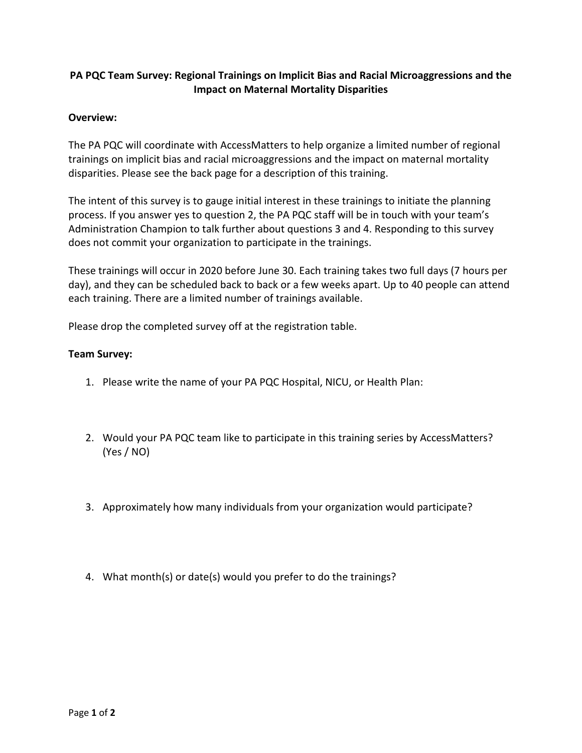## **PA PQC Team Survey: Regional Trainings on Implicit Bias and Racial Microaggressions and the Impact on Maternal Mortality Disparities**

## **Overview:**

The PA PQC will coordinate with AccessMatters to help organize a limited number of regional trainings on implicit bias and racial microaggressions and the impact on maternal mortality disparities. Please see the back page for a description of this training.

The intent of this survey is to gauge initial interest in these trainings to initiate the planning process. If you answer yes to question 2, the PA PQC staff will be in touch with your team's Administration Champion to talk further about questions 3 and 4. Responding to this survey does not commit your organization to participate in the trainings.

These trainings will occur in 2020 before June 30. Each training takes two full days (7 hours per day), and they can be scheduled back to back or a few weeks apart. Up to 40 people can attend each training. There are a limited number of trainings available.

Please drop the completed survey off at the registration table.

## **Team Survey:**

- 1. Please write the name of your PA PQC Hospital, NICU, or Health Plan:
- 2. Would your PA PQC team like to participate in this training series by AccessMatters? (Yes / NO)
- 3. Approximately how many individuals from your organization would participate?
- 4. What month(s) or date(s) would you prefer to do the trainings?